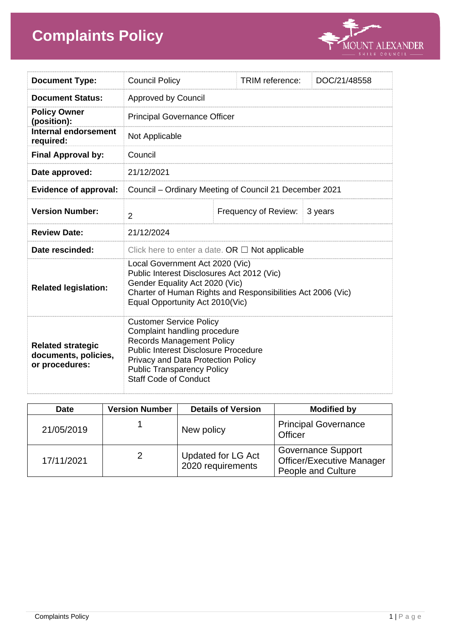# **Complaints Policy**



| <b>Document Type:</b>                                              | <b>Council Policy</b>                                                                                                                                                                                                                                        |  | <b>TRIM</b> reference: | DOC/21/48558 |
|--------------------------------------------------------------------|--------------------------------------------------------------------------------------------------------------------------------------------------------------------------------------------------------------------------------------------------------------|--|------------------------|--------------|
| <b>Document Status:</b>                                            | <b>Approved by Council</b>                                                                                                                                                                                                                                   |  |                        |              |
| <b>Policy Owner</b><br>(position):                                 | <b>Principal Governance Officer</b>                                                                                                                                                                                                                          |  |                        |              |
| <b>Internal endorsement</b><br>required:                           | Not Applicable                                                                                                                                                                                                                                               |  |                        |              |
| <b>Final Approval by:</b>                                          | Council                                                                                                                                                                                                                                                      |  |                        |              |
| Date approved:                                                     | 21/12/2021                                                                                                                                                                                                                                                   |  |                        |              |
| <b>Evidence of approval:</b>                                       | Council - Ordinary Meeting of Council 21 December 2021                                                                                                                                                                                                       |  |                        |              |
| <b>Version Number:</b>                                             | $\overline{2}$                                                                                                                                                                                                                                               |  | Frequency of Review:   | 3 years      |
| <b>Review Date:</b>                                                | 21/12/2024                                                                                                                                                                                                                                                   |  |                        |              |
| Date rescinded:                                                    | Click here to enter a date. OR $\Box$ Not applicable                                                                                                                                                                                                         |  |                        |              |
| <b>Related legislation:</b>                                        | Local Government Act 2020 (Vic)<br>Public Interest Disclosures Act 2012 (Vic)<br>Gender Equality Act 2020 (Vic)<br>Charter of Human Rights and Responsibilities Act 2006 (Vic)<br>Equal Opportunity Act 2010(Vic)                                            |  |                        |              |
| <b>Related strategic</b><br>documents, policies,<br>or procedures: | <b>Customer Service Policy</b><br>Complaint handling procedure<br><b>Records Management Policy</b><br><b>Public Interest Disclosure Procedure</b><br>Privacy and Data Protection Policy<br><b>Public Transparency Policy</b><br><b>Staff Code of Conduct</b> |  |                        |              |

| <b>Date</b> | <b>Version Number</b> | <b>Details of Version</b>                      | <b>Modified by</b>                                                                         |
|-------------|-----------------------|------------------------------------------------|--------------------------------------------------------------------------------------------|
| 21/05/2019  |                       | New policy                                     | <b>Principal Governance</b><br>Officer                                                     |
| 17/11/2021  | 2                     | <b>Updated for LG Act</b><br>2020 requirements | <b>Governance Support</b><br><b>Officer/Executive Manager</b><br><b>People and Culture</b> |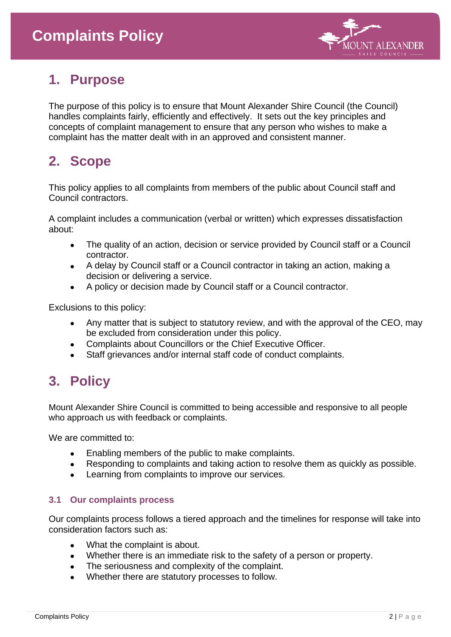

# **1. Purpose**

The purpose of this policy is to ensure that Mount Alexander Shire Council (the Council) handles complaints fairly, efficiently and effectively. It sets out the key principles and concepts of complaint management to ensure that any person who wishes to make a complaint has the matter dealt with in an approved and consistent manner.

### **2. Scope**

This policy applies to all complaints from members of the public about Council staff and Council contractors.

A complaint includes a communication (verbal or written) which expresses dissatisfaction about:

- The quality of an action, decision or service provided by Council staff or a Council contractor.
- A delay by Council staff or a Council contractor in taking an action, making a decision or delivering a service.
- A policy or decision made by Council staff or a Council contractor.

Exclusions to this policy:

- Any matter that is subject to statutory review, and with the approval of the CEO, may be excluded from consideration under this policy.
- Complaints about Councillors or the Chief Executive Officer.
- Staff grievances and/or internal staff code of conduct complaints.

## **3. Policy**

Mount Alexander Shire Council is committed to being accessible and responsive to all people who approach us with feedback or complaints.

We are committed to:

- Enabling members of the public to make complaints.
- Responding to complaints and taking action to resolve them as quickly as possible.
- Learning from complaints to improve our services.

#### **3.1 Our complaints process**

Our complaints process follows a tiered approach and the timelines for response will take into consideration factors such as:

- What the complaint is about.
- Whether there is an immediate risk to the safety of a person or property.
- The seriousness and complexity of the complaint.
- Whether there are statutory processes to follow.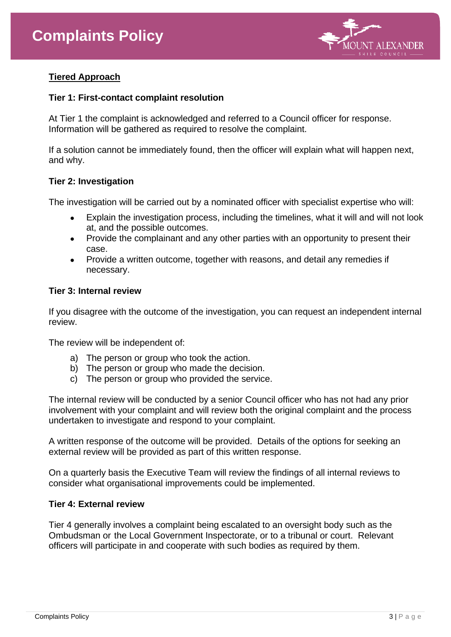

#### **Tiered Approach**

#### **Tier 1: First-contact complaint resolution**

At Tier 1 the complaint is acknowledged and referred to a Council officer for response. Information will be gathered as required to resolve the complaint.

If a solution cannot be immediately found, then the officer will explain what will happen next, and why.

#### **Tier 2: Investigation**

The investigation will be carried out by a nominated officer with specialist expertise who will:

- Explain the investigation process, including the timelines, what it will and will not look at, and the possible outcomes.
- Provide the complainant and any other parties with an opportunity to present their case.
- Provide a written outcome, together with reasons, and detail any remedies if necessary.

#### **Tier 3: Internal review**

If you disagree with the outcome of the investigation, you can request an independent internal review.

The review will be independent of:

- a) The person or group who took the action.
- b) The person or group who made the decision.
- c) The person or group who provided the service.

The internal review will be conducted by a senior Council officer who has not had any prior involvement with your complaint and will review both the original complaint and the process undertaken to investigate and respond to your complaint.

A written response of the outcome will be provided. Details of the options for seeking an external review will be provided as part of this written response.

On a quarterly basis the Executive Team will review the findings of all internal reviews to consider what organisational improvements could be implemented.

#### **Tier 4: External review**

Tier 4 generally involves a complaint being escalated to an oversight body such as the Ombudsman or the Local Government Inspectorate, or to a tribunal or court. Relevant officers will participate in and cooperate with such bodies as required by them.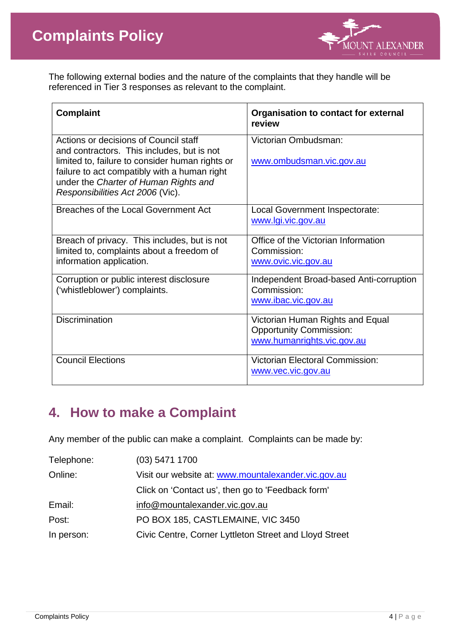

The following external bodies and the nature of the complaints that they handle will be referenced in Tier 3 responses as relevant to the complaint.

| <b>Complaint</b>                                                                                                                                                                                                                                                    | <b>Organisation to contact for external</b><br>review                                            |  |
|---------------------------------------------------------------------------------------------------------------------------------------------------------------------------------------------------------------------------------------------------------------------|--------------------------------------------------------------------------------------------------|--|
| Actions or decisions of Council staff<br>and contractors. This includes, but is not<br>limited to, failure to consider human rights or<br>failure to act compatibly with a human right<br>under the Charter of Human Rights and<br>Responsibilities Act 2006 (Vic). | Victorian Ombudsman:<br>www.ombudsman.vic.gov.au                                                 |  |
| Breaches of the Local Government Act                                                                                                                                                                                                                                | Local Government Inspectorate:<br>www.lgi.vic.gov.au                                             |  |
| Breach of privacy. This includes, but is not<br>limited to, complaints about a freedom of<br>information application.                                                                                                                                               | Office of the Victorian Information<br>Commission:<br>www.ovic.vic.gov.au                        |  |
| Corruption or public interest disclosure<br>('whistleblower') complaints.                                                                                                                                                                                           | Independent Broad-based Anti-corruption<br>Commission:<br>www.ibac.vic.gov.au                    |  |
| <b>Discrimination</b>                                                                                                                                                                                                                                               | Victorian Human Rights and Equal<br><b>Opportunity Commission:</b><br>www.humanrights.vic.gov.au |  |
| <b>Council Elections</b>                                                                                                                                                                                                                                            | <b>Victorian Electoral Commission:</b><br>www.vec.vic.gov.au                                     |  |

### **4. How to make a Complaint**

Any member of the public can make a complaint. Complaints can be made by:

| Telephone: | $(03)$ 5471 1700                                       |
|------------|--------------------------------------------------------|
| Online:    | Visit our website at: www.mountalexander.vic.gov.au    |
|            | Click on 'Contact us', then go to 'Feedback form'      |
| Email:     | info@mountalexander.vic.gov.au                         |
| Post:      | PO BOX 185, CASTLEMAINE, VIC 3450                      |
| In person: | Civic Centre, Corner Lyttleton Street and Lloyd Street |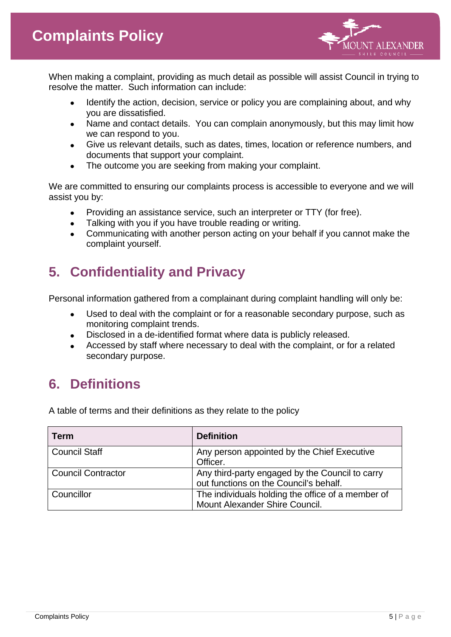

When making a complaint, providing as much detail as possible will assist Council in trying to resolve the matter. Such information can include:

- Identify the action, decision, service or policy you are complaining about, and why you are dissatisfied.
- Name and contact details. You can complain anonymously, but this may limit how we can respond to you.
- Give us relevant details, such as dates, times, location or reference numbers, and documents that support your complaint.
- The outcome you are seeking from making your complaint.

We are committed to ensuring our complaints process is accessible to everyone and we will assist you by:

- Providing an assistance service, such an interpreter or TTY (for free).
- Talking with you if you have trouble reading or writing.
- Communicating with another person acting on your behalf if you cannot make the complaint yourself.

# **5. Confidentiality and Privacy**

Personal information gathered from a complainant during complaint handling will only be:

- Used to deal with the complaint or for a reasonable secondary purpose, such as monitoring complaint trends.
- Disclosed in a de-identified format where data is publicly released.
- Accessed by staff where necessary to deal with the complaint, or for a related secondary purpose.

## **6. Definitions**

A table of terms and their definitions as they relate to the policy

| Term                      | <b>Definition</b>                                                                         |
|---------------------------|-------------------------------------------------------------------------------------------|
| <b>Council Staff</b>      | Any person appointed by the Chief Executive<br>Officer.                                   |
| <b>Council Contractor</b> | Any third-party engaged by the Council to carry<br>out functions on the Council's behalf. |
| Councillor                | The individuals holding the office of a member of<br>Mount Alexander Shire Council.       |